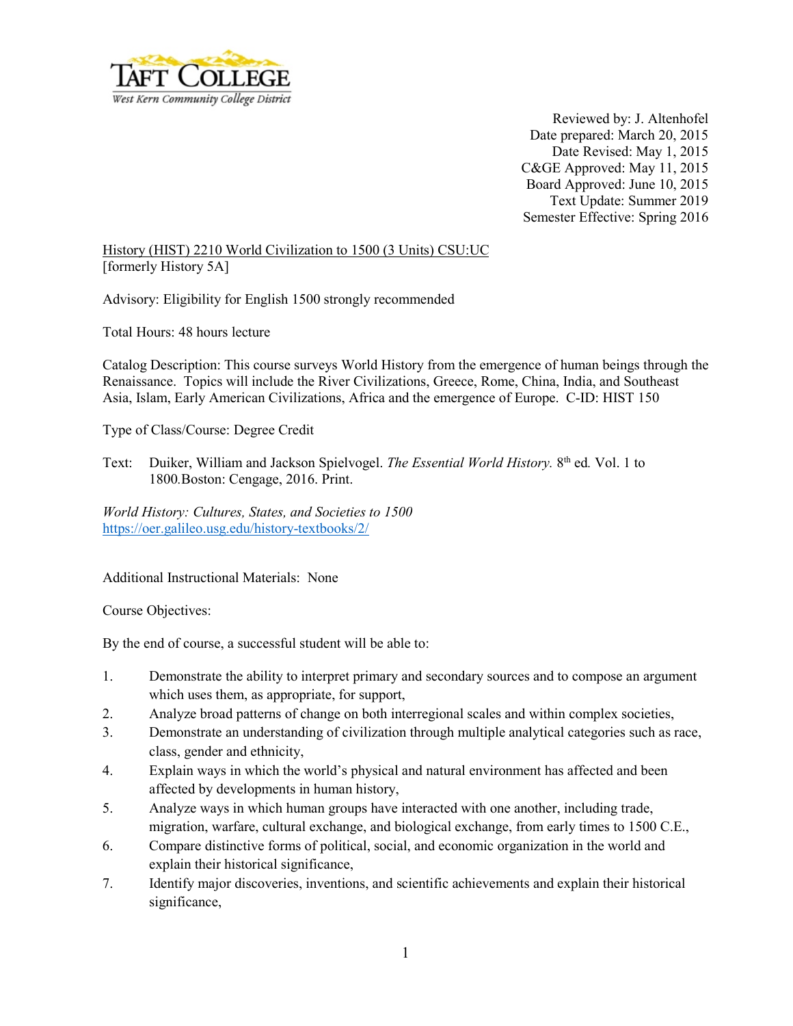

Reviewed by: J. Altenhofel Date prepared: March 20, 2015 Date Revised: May 1, 2015 C&GE Approved: May 11, 2015 Board Approved: June 10, 2015 Text Update: Summer 2019 Semester Effective: Spring 2016

History (HIST) 2210 World Civilization to 1500 (3 Units) CSU:UC [formerly History 5A]

Advisory: Eligibility for English 1500 strongly recommended

Total Hours: 48 hours lecture

Catalog Description: This course surveys World History from the emergence of human beings through the Renaissance. Topics will include the River Civilizations, Greece, Rome, China, India, and Southeast Asia, Islam, Early American Civilizations, Africa and the emergence of Europe. C-ID: HIST 150

Type of Class/Course: Degree Credit

Text: Duiker, William and Jackson Spielvogel. *The Essential World History*. 8<sup>th</sup> ed. Vol. 1 to 1800*.*Boston: Cengage, 2016. Print.

*World History: Cultures, States, and Societies to 1500* <https://oer.galileo.usg.edu/history-textbooks/2/>

Additional Instructional Materials: None

Course Objectives:

By the end of course, a successful student will be able to:

- 1. Demonstrate the ability to interpret primary and secondary sources and to compose an argument which uses them, as appropriate, for support,
- 2. Analyze broad patterns of change on both interregional scales and within complex societies,
- 3. Demonstrate an understanding of civilization through multiple analytical categories such as race, class, gender and ethnicity,
- 4. Explain ways in which the world's physical and natural environment has affected and been affected by developments in human history,
- 5. Analyze ways in which human groups have interacted with one another, including trade, migration, warfare, cultural exchange, and biological exchange, from early times to 1500 C.E.,
- 6. Compare distinctive forms of political, social, and economic organization in the world and explain their historical significance,
- 7. Identify major discoveries, inventions, and scientific achievements and explain their historical significance,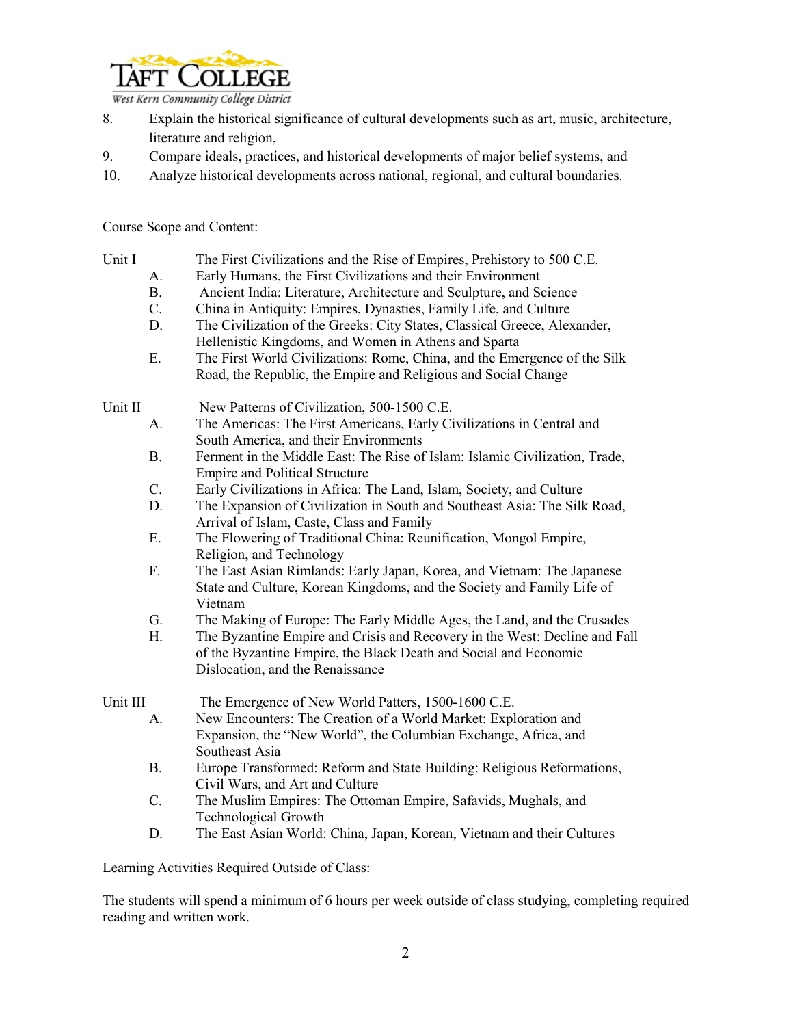

West Kern Community College District

- 8. Explain the historical significance of cultural developments such as art, music, architecture, literature and religion,
- 9. Compare ideals, practices, and historical developments of major belief systems, and
- 10. Analyze historical developments across national, regional, and cultural boundaries.

Course Scope and Content:

| Unit I | The First Civilizations and the Rise of Empires, Prehistory to 500 C.E. |  |
|--------|-------------------------------------------------------------------------|--|
|        |                                                                         |  |
|        |                                                                         |  |

- A. Early Humans, the First Civilizations and their Environment
- B. Ancient India: Literature, Architecture and Sculpture, and Science
- C. China in Antiquity: Empires, Dynasties, Family Life, and Culture
- D. The Civilization of the Greeks: City States, Classical Greece, Alexander, Hellenistic Kingdoms, and Women in Athens and Sparta
- E. The First World Civilizations: Rome, China, and the Emergence of the Silk Road, the Republic, the Empire and Religious and Social Change

- Unit II New Patterns of Civilization, 500-1500 C.E.
	- A. The Americas: The First Americans, Early Civilizations in Central and South America, and their Environments
	- B. Ferment in the Middle East: The Rise of Islam: Islamic Civilization, Trade, Empire and Political Structure
	- C. Early Civilizations in Africa: The Land, Islam, Society, and Culture
	- D. The Expansion of Civilization in South and Southeast Asia: The Silk Road, Arrival of Islam, Caste, Class and Family
	- E. The Flowering of Traditional China: Reunification, Mongol Empire, Religion, and Technology
	- F. The East Asian Rimlands: Early Japan, Korea, and Vietnam: The Japanese State and Culture, Korean Kingdoms, and the Society and Family Life of Vietnam
	- G. The Making of Europe: The Early Middle Ages, the Land, and the Crusades
	- H. The Byzantine Empire and Crisis and Recovery in the West: Decline and Fall of the Byzantine Empire, the Black Death and Social and Economic Dislocation, and the Renaissance

Unit III The Emergence of New World Patters, 1500-1600 C.E.

- A. New Encounters: The Creation of a World Market: Exploration and Expansion, the "New World", the Columbian Exchange, Africa, and Southeast Asia
- B. Europe Transformed: Reform and State Building: Religious Reformations, Civil Wars, and Art and Culture
- C. The Muslim Empires: The Ottoman Empire, Safavids, Mughals, and Technological Growth
- D. The East Asian World: China, Japan, Korean, Vietnam and their Cultures

Learning Activities Required Outside of Class:

The students will spend a minimum of 6 hours per week outside of class studying, completing required reading and written work.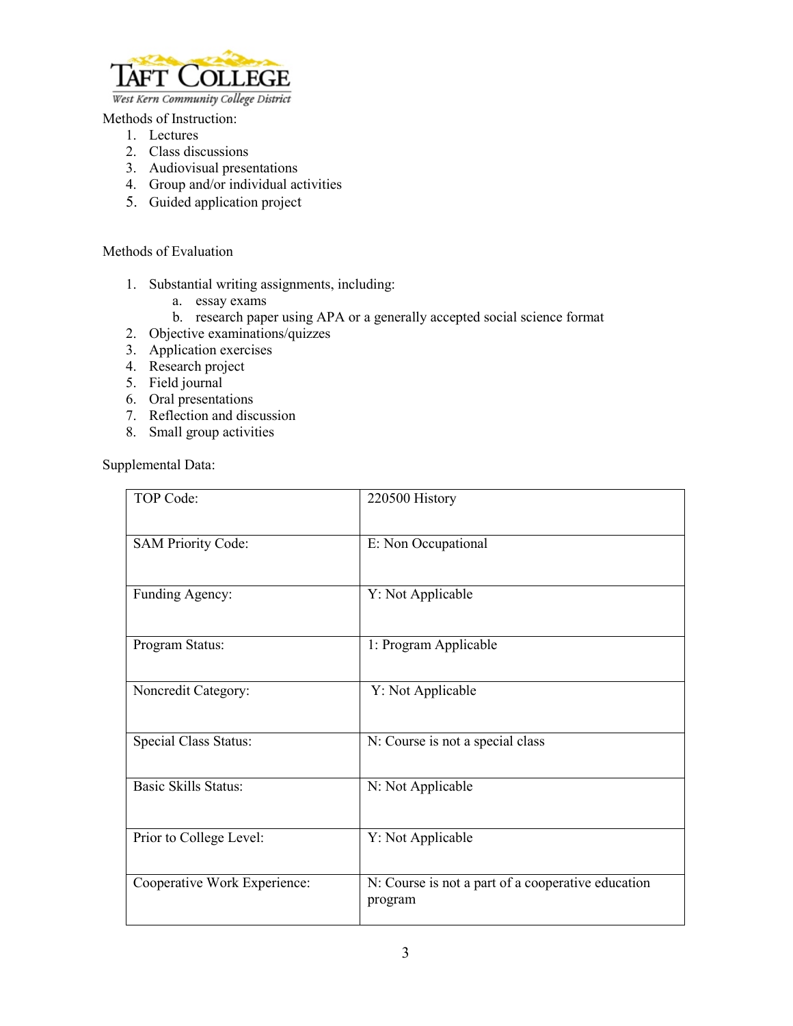

West Kern Community College District

Methods of Instruction:

- 1. Lectures
- 2. Class discussions
- 3. Audiovisual presentations
- 4. Group and/or individual activities
- 5. Guided application project

## Methods of Evaluation

- 1. Substantial writing assignments, including:
	- a. essay exams
	- b. research paper using APA or a generally accepted social science format
- 2. Objective examinations/quizzes
- 3. Application exercises
- 4. Research project
- 5. Field journal
- 6. Oral presentations
- 7. Reflection and discussion
- 8. Small group activities

Supplemental Data:

| TOP Code:                    | 220500 History                                                |  |
|------------------------------|---------------------------------------------------------------|--|
| <b>SAM Priority Code:</b>    | E: Non Occupational                                           |  |
| Funding Agency:              | Y: Not Applicable                                             |  |
| Program Status:              | 1: Program Applicable                                         |  |
| Noncredit Category:          | Y: Not Applicable                                             |  |
| Special Class Status:        | N: Course is not a special class                              |  |
| <b>Basic Skills Status:</b>  | N: Not Applicable                                             |  |
| Prior to College Level:      | Y: Not Applicable                                             |  |
| Cooperative Work Experience: | N: Course is not a part of a cooperative education<br>program |  |